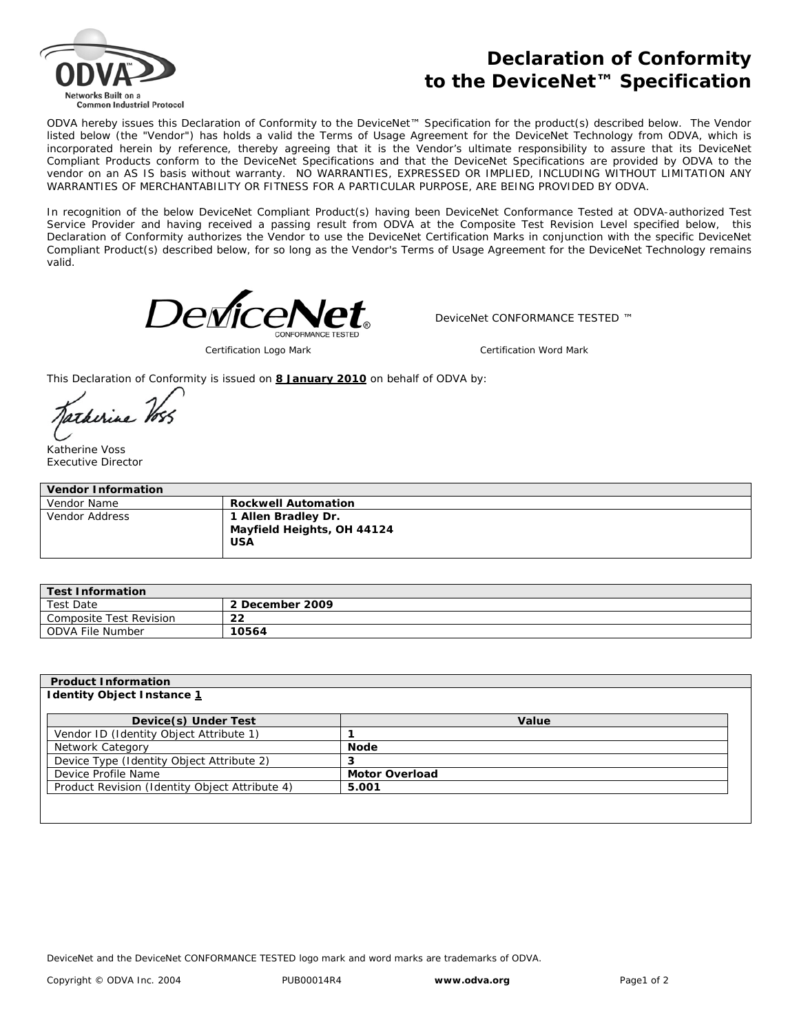

## **Declaration of Conformity to the DeviceNet™ Specification**

ODVA hereby issues this Declaration of Conformity to the DeviceNet™ Specification for the product(s) described below. The Vendor listed below (the "Vendor") has holds a valid the Terms of Usage Agreement for the DeviceNet Technology from ODVA, which is incorporated herein by reference, thereby agreeing that it is the Vendor's ultimate responsibility to assure that its DeviceNet Compliant Products conform to the DeviceNet Specifications and that the DeviceNet Specifications are provided by ODVA to the vendor on an AS IS basis without warranty. NO WARRANTIES, EXPRESSED OR IMPLIED, INCLUDING WITHOUT LIMITATION ANY WARRANTIES OF MERCHANTABILITY OR FITNESS FOR A PARTICULAR PURPOSE, ARE BEING PROVIDED BY ODVA.

In recognition of the below DeviceNet Compliant Product(s) having been DeviceNet Conformance Tested at ODVA-authorized Test Service Provider and having received a passing result from ODVA at the Composite Test Revision Level specified below, this Declaration of Conformity authorizes the Vendor to use the DeviceNet Certification Marks in conjunction with the specific DeviceNet Compliant Product(s) described below, for so long as the Vendor's Terms of Usage Agreement for the DeviceNet Technology remains valid.



*Certification Logo Mark Certification Word Mark*

DeviceNet CONFORMANCE TESTED ™

This Declaration of Conformity is issued on **8 January 2010** on behalf of ODVA by:

Jatherine Voss

Katherine Voss Executive Director

| <b>Vendor Information</b> |                                                                 |  |  |  |
|---------------------------|-----------------------------------------------------------------|--|--|--|
| Vendor Name               | <b>Rockwell Automation</b>                                      |  |  |  |
| Vendor Address            | 1 Allen Bradley Dr.<br>Mayfield Heights, OH 44124<br><b>USA</b> |  |  |  |

| <b>Test Information</b> |                 |  |  |
|-------------------------|-----------------|--|--|
| Test Date               | 2 December 2009 |  |  |
| Composite Test Revision | 22              |  |  |
| ODVA File Number        | 10564           |  |  |

| Value                 |
|-----------------------|
|                       |
| <b>Node</b>           |
| 3                     |
| <b>Motor Overload</b> |
| 5.001                 |
|                       |
|                       |

DeviceNet and the DeviceNet CONFORMANCE TESTED logo mark and word marks are trademarks of ODVA.